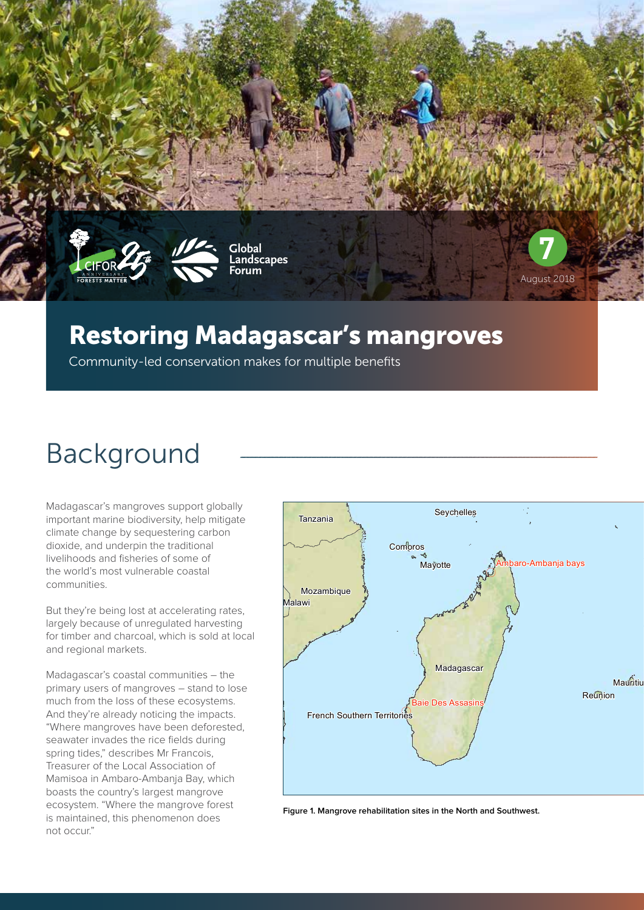



**Global Landscapes Forum**

### Restoring Madagascar's mangroves

Community-led conservation makes for multiple benefits

# Background

Madagascar's mangroves support globally important marine biodiversity, help mitigate climate change by sequestering carbon dioxide, and underpin the traditional livelihoods and fisheries of some of the world's most vulnerable coastal communities.

But they're being lost at accelerating rates, largely because of unregulated harvesting for timber and charcoal, which is sold at local and regional markets.

Madagascar's coastal communities – the primary users of mangroves – stand to lose much from the loss of these ecosystems. And they're already noticing the impacts. "Where mangroves have been deforested, seawater invades the rice fields during spring tides," describes Mr Francois, Treasurer of the Local Association of Mamisoa in Ambaro-Ambanja Bay, which boasts the country's largest mangrove ecosystem. "Where the mangrove forest is maintained, this phenomenon does not occur."



**7**

August 2018

**Figure 1. Mangrove rehabilitation sites in the North and Southwest.**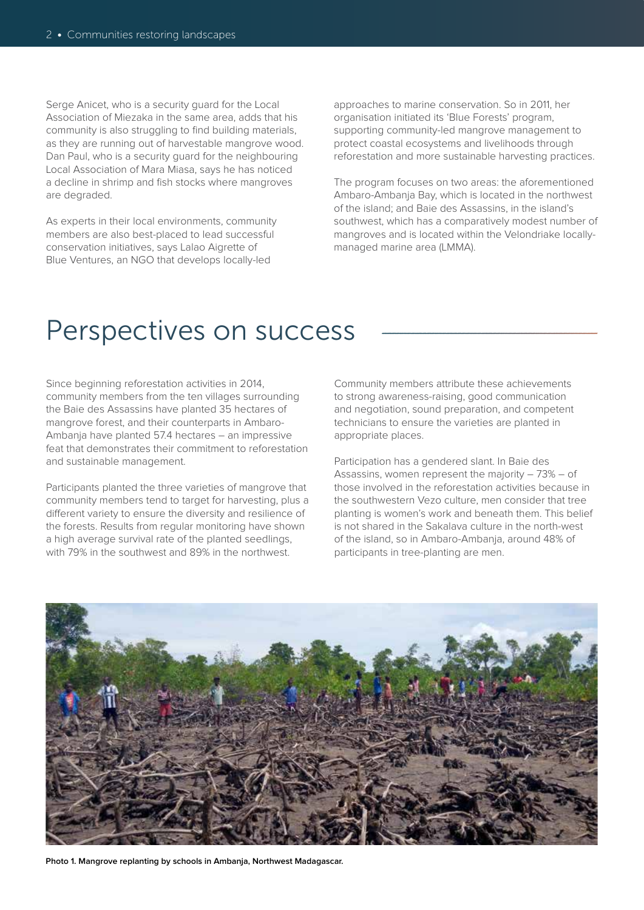Serge Anicet, who is a security guard for the Local Association of Miezaka in the same area, adds that his community is also struggling to find building materials. as they are running out of harvestable mangrove wood. Dan Paul, who is a security guard for the neighbouring Local Association of Mara Miasa, says he has noticed a decline in shrimp and fish stocks where mangroves are degraded.

As experts in their local environments, community members are also best-placed to lead successful conservation initiatives, says Lalao Aigrette of Blue Ventures, an NGO that develops locally-led

approaches to marine conservation. So in 2011, her organisation initiated its 'Blue Forests' program, supporting community-led mangrove management to protect coastal ecosystems and livelihoods through reforestation and more sustainable harvesting practices.

The program focuses on two areas: the aforementioned Ambaro-Ambanja Bay, which is located in the northwest of the island; and Baie des Assassins, in the island's southwest, which has a comparatively modest number of mangroves and is located within the Velondriake locallymanaged marine area (LMMA).

### Perspectives on success

Since beginning reforestation activities in 2014, community members from the ten villages surrounding the Baie des Assassins have planted 35 hectares of mangrove forest, and their counterparts in Ambaro-Ambanja have planted 57.4 hectares – an impressive feat that demonstrates their commitment to reforestation and sustainable management.

Participants planted the three varieties of mangrove that community members tend to target for harvesting, plus a different variety to ensure the diversity and resilience of the forests. Results from regular monitoring have shown a high average survival rate of the planted seedlings, with 79% in the southwest and 89% in the northwest.

Community members attribute these achievements to strong awareness-raising, good communication and negotiation, sound preparation, and competent technicians to ensure the varieties are planted in appropriate places.

Participation has a gendered slant. In Baie des Assassins, women represent the majority – 73% – of those involved in the reforestation activities because in the southwestern Vezo culture, men consider that tree planting is women's work and beneath them. This belief is not shared in the Sakalava culture in the north-west of the island, so in Ambaro-Ambanja, around 48% of participants in tree-planting are men.



**Photo 1. Mangrove replanting by schools in Ambanja, Northwest Madagascar.**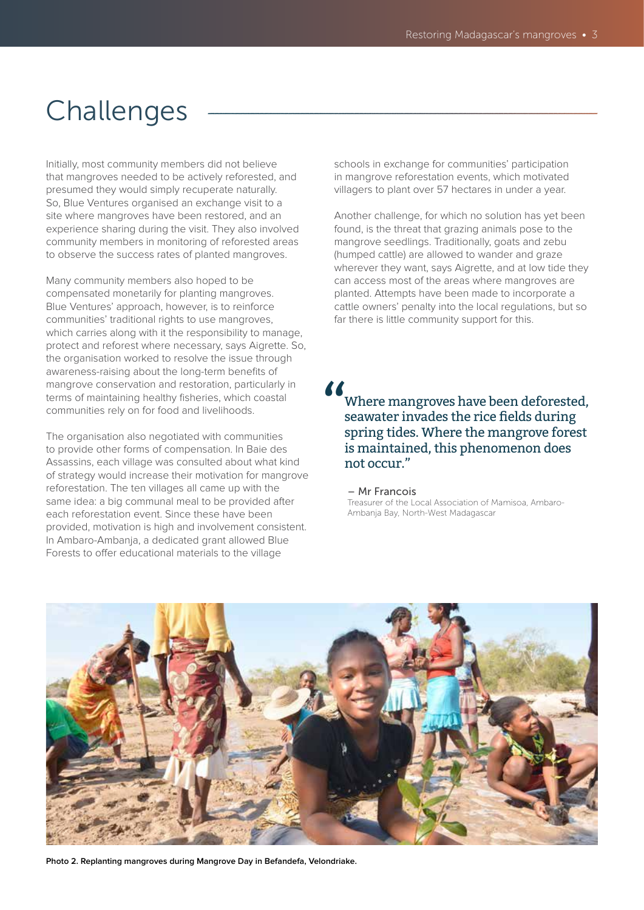## Challenges

Initially, most community members did not believe that mangroves needed to be actively reforested, and presumed they would simply recuperate naturally. So, Blue Ventures organised an exchange visit to a site where mangroves have been restored, and an experience sharing during the visit. They also involved community members in monitoring of reforested areas to observe the success rates of planted mangroves.

Many community members also hoped to be compensated monetarily for planting mangroves. Blue Ventures' approach, however, is to reinforce communities' traditional rights to use mangroves, which carries along with it the responsibility to manage, protect and reforest where necessary, says Aigrette. So, the organisation worked to resolve the issue through awareness-raising about the long-term benefits of mangrove conservation and restoration, particularly in terms of maintaining healthy fisheries, which coastal communities rely on for food and livelihoods.

The organisation also negotiated with communities to provide other forms of compensation. In Baie des Assassins, each village was consulted about what kind of strategy would increase their motivation for mangrove reforestation. The ten villages all came up with the same idea: a big communal meal to be provided after each reforestation event. Since these have been provided, motivation is high and involvement consistent. In Ambaro-Ambanja, a dedicated grant allowed Blue Forests to offer educational materials to the village

schools in exchange for communities' participation in mangrove reforestation events, which motivated villagers to plant over 57 hectares in under a year.

Another challenge, for which no solution has yet been found, is the threat that grazing animals pose to the mangrove seedlings. Traditionally, goats and zebu (humped cattle) are allowed to wander and graze wherever they want, says Aigrette, and at low tide they can access most of the areas where mangroves are planted. Attempts have been made to incorporate a cattle owners' penalty into the local regulations, but so far there is little community support for this.

 $\frac{1}{2}$ 

Where mangroves have been deforested, seawater invades the rice fields during spring tides. Where the mangrove forest is maintained, this phenomenon does not occur."

### – Mr Francois

Treasurer of the Local Association of Mamisoa, Ambaro-Ambanja Bay, North-West Madagascar



**Photo 2. Replanting mangroves during Mangrove Day in Befandefa, Velondriake.**